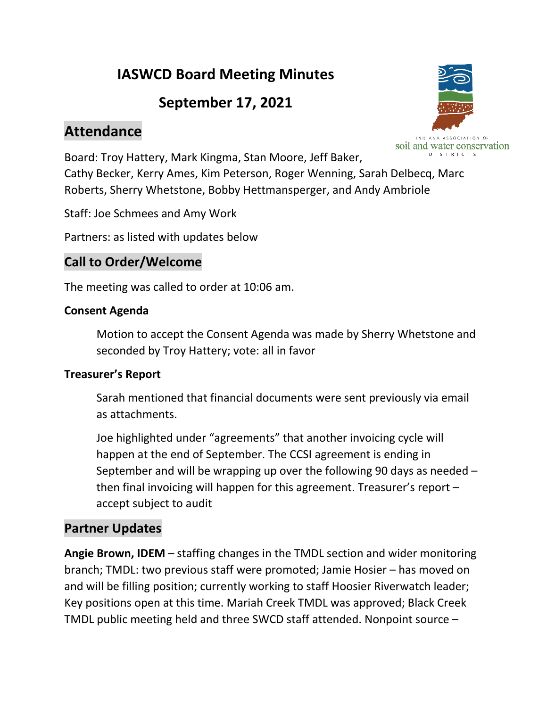# **IASWCD Board Meeting Minutes**

# **September 17, 2021**

# **Attendance**



Board: Troy Hattery, Mark Kingma, Stan Moore, Jeff Baker, Cathy Becker, Kerry Ames, Kim Peterson, Roger Wenning, Sarah Delbecq, Marc Roberts, Sherry Whetstone, Bobby Hettmansperger, and Andy Ambriole

Staff: Joe Schmees and Amy Work

Partners: as listed with updates below

### **Call to Order/Welcome**

The meeting was called to order at 10:06 am.

#### **Consent Agenda**

Motion to accept the Consent Agenda was made by Sherry Whetstone and seconded by Troy Hattery; vote: all in favor

### **Treasurer's Report**

Sarah mentioned that financial documents were sent previously via email as attachments.

Joe highlighted under "agreements" that another invoicing cycle will happen at the end of September. The CCSI agreement is ending in September and will be wrapping up over the following 90 days as needed – then final invoicing will happen for this agreement. Treasurer's report – accept subject to audit

### **Partner Updates**

**Angie Brown, IDEM** – staffing changes in the TMDL section and wider monitoring branch; TMDL: two previous staff were promoted; Jamie Hosier – has moved on and will be filling position; currently working to staff Hoosier Riverwatch leader; Key positions open at this time. Mariah Creek TMDL was approved; Black Creek TMDL public meeting held and three SWCD staff attended. Nonpoint source –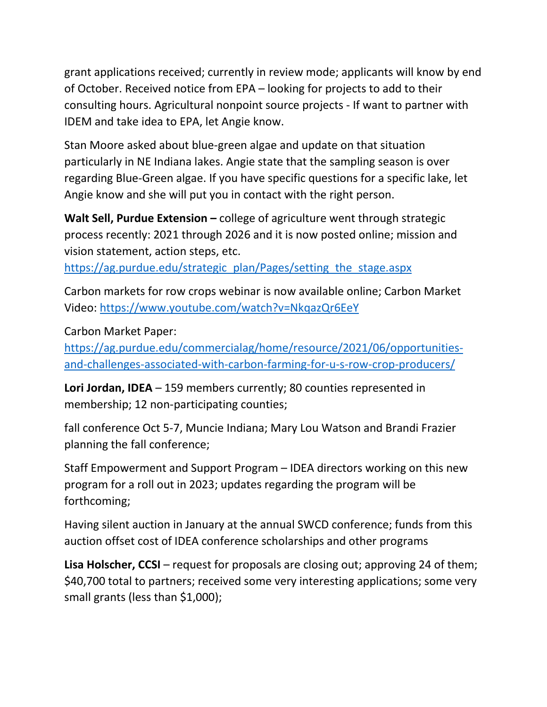grant applications received; currently in review mode; applicants will know by end of October. Received notice from EPA – looking for projects to add to their consulting hours. Agricultural nonpoint source projects - If want to partner with IDEM and take idea to EPA, let Angie know.

Stan Moore asked about blue-green algae and update on that situation particularly in NE Indiana lakes. Angie state that the sampling season is over regarding Blue-Green algae. If you have specific questions for a specific lake, let Angie know and she will put you in contact with the right person.

**Walt Sell, Purdue Extension –** college of agriculture went through strategic process recently: 2021 through 2026 and it is now posted online; mission and vision statement, action steps, etc.

[https://ag.purdue.edu/strategic\\_plan/Pages/setting\\_the\\_stage.aspx](https://ag.purdue.edu/strategic_plan/Pages/setting_the_stage.aspx)

Carbon markets for row crops webinar is now available online; Carbon Market Video:<https://www.youtube.com/watch?v=NkqazQr6EeY>

Carbon Market Paper:

[https://ag.purdue.edu/commercialag/home/resource/2021/06/opportunities](https://ag.purdue.edu/commercialag/home/resource/2021/06/opportunities-and-challenges-associated-with-carbon-farming-for-u-s-row-crop-producers/)[and-challenges-associated-with-carbon-farming-for-u-s-row-crop-producers/](https://ag.purdue.edu/commercialag/home/resource/2021/06/opportunities-and-challenges-associated-with-carbon-farming-for-u-s-row-crop-producers/)

**Lori Jordan, IDEA** – 159 members currently; 80 counties represented in membership; 12 non-participating counties;

fall conference Oct 5-7, Muncie Indiana; Mary Lou Watson and Brandi Frazier planning the fall conference;

Staff Empowerment and Support Program – IDEA directors working on this new program for a roll out in 2023; updates regarding the program will be forthcoming;

Having silent auction in January at the annual SWCD conference; funds from this auction offset cost of IDEA conference scholarships and other programs

**Lisa Holscher, CCSI** – request for proposals are closing out; approving 24 of them; \$40,700 total to partners; received some very interesting applications; some very small grants (less than \$1,000);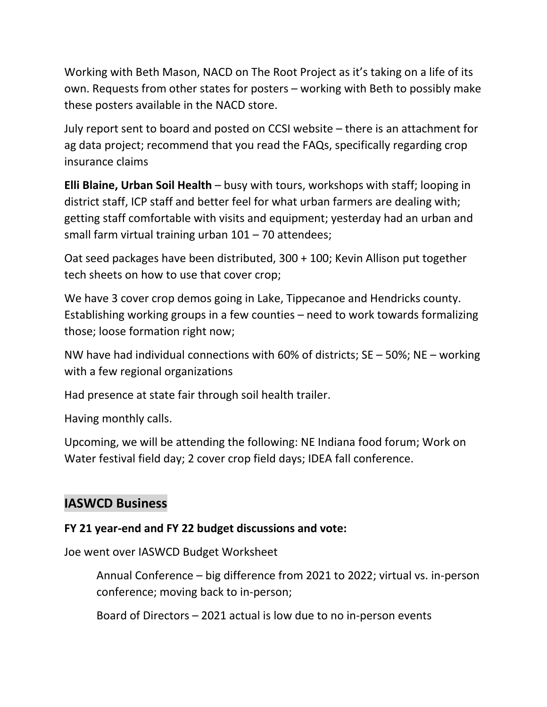Working with Beth Mason, NACD on The Root Project as it's taking on a life of its own. Requests from other states for posters – working with Beth to possibly make these posters available in the NACD store.

July report sent to board and posted on CCSI website – there is an attachment for ag data project; recommend that you read the FAQs, specifically regarding crop insurance claims

**Elli Blaine, Urban Soil Health** – busy with tours, workshops with staff; looping in district staff, ICP staff and better feel for what urban farmers are dealing with; getting staff comfortable with visits and equipment; yesterday had an urban and small farm virtual training urban  $101 - 70$  attendees;

Oat seed packages have been distributed, 300 + 100; Kevin Allison put together tech sheets on how to use that cover crop;

We have 3 cover crop demos going in Lake, Tippecanoe and Hendricks county. Establishing working groups in a few counties – need to work towards formalizing those; loose formation right now;

NW have had individual connections with 60% of districts; SE – 50%; NE – working with a few regional organizations

Had presence at state fair through soil health trailer.

Having monthly calls.

Upcoming, we will be attending the following: NE Indiana food forum; Work on Water festival field day; 2 cover crop field days; IDEA fall conference.

### **IASWCD Business**

#### **FY 21 year-end and FY 22 budget discussions and vote:**

Joe went over IASWCD Budget Worksheet

Annual Conference – big difference from 2021 to 2022; virtual vs. in-person conference; moving back to in-person;

Board of Directors – 2021 actual is low due to no in-person events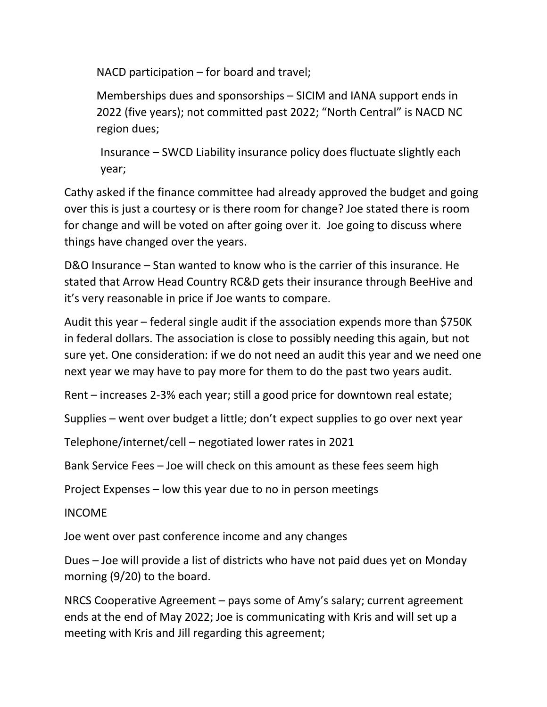NACD participation – for board and travel;

Memberships dues and sponsorships – SICIM and IANA support ends in 2022 (five years); not committed past 2022; "North Central" is NACD NC region dues;

Insurance – SWCD Liability insurance policy does fluctuate slightly each year;

Cathy asked if the finance committee had already approved the budget and going over this is just a courtesy or is there room for change? Joe stated there is room for change and will be voted on after going over it. Joe going to discuss where things have changed over the years.

D&O Insurance – Stan wanted to know who is the carrier of this insurance. He stated that Arrow Head Country RC&D gets their insurance through BeeHive and it's very reasonable in price if Joe wants to compare.

Audit this year – federal single audit if the association expends more than \$750K in federal dollars. The association is close to possibly needing this again, but not sure yet. One consideration: if we do not need an audit this year and we need one next year we may have to pay more for them to do the past two years audit.

Rent – increases 2-3% each year; still a good price for downtown real estate;

Supplies – went over budget a little; don't expect supplies to go over next year

Telephone/internet/cell – negotiated lower rates in 2021

Bank Service Fees – Joe will check on this amount as these fees seem high

Project Expenses – low this year due to no in person meetings

INCOME

Joe went over past conference income and any changes

Dues – Joe will provide a list of districts who have not paid dues yet on Monday morning (9/20) to the board.

NRCS Cooperative Agreement – pays some of Amy's salary; current agreement ends at the end of May 2022; Joe is communicating with Kris and will set up a meeting with Kris and Jill regarding this agreement;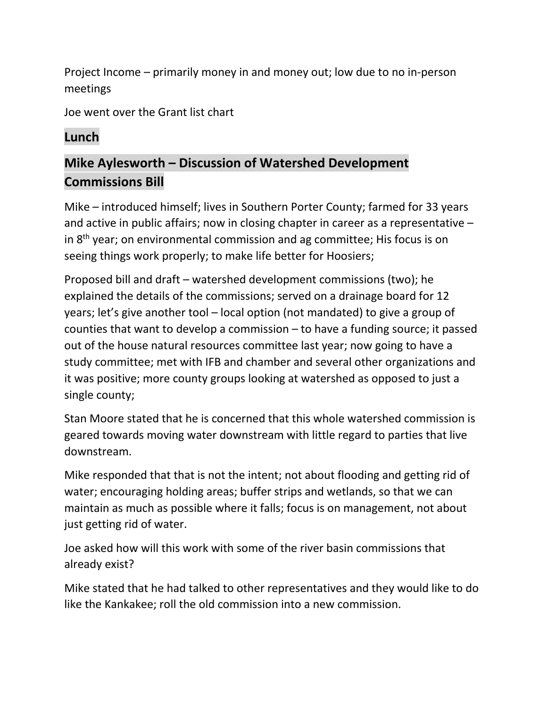Project Income – primarily money in and money out; low due to no in-person meetings

Joe went over the Grant list chart

### **Lunch**

## **Mike Aylesworth – Discussion of Watershed Development Commissions Bill**

Mike – introduced himself; lives in Southern Porter County; farmed for 33 years and active in public affairs; now in closing chapter in career as a representative – in  $8<sup>th</sup>$  year; on environmental commission and ag committee; His focus is on seeing things work properly; to make life better for Hoosiers;

Proposed bill and draft – watershed development commissions (two); he explained the details of the commissions; served on a drainage board for 12 years; let's give another tool – local option (not mandated) to give a group of counties that want to develop a commission – to have a funding source; it passed out of the house natural resources committee last year; now going to have a study committee; met with IFB and chamber and several other organizations and it was positive; more county groups looking at watershed as opposed to just a single county;

Stan Moore stated that he is concerned that this whole watershed commission is geared towards moving water downstream with little regard to parties that live downstream.

Mike responded that that is not the intent; not about flooding and getting rid of water; encouraging holding areas; buffer strips and wetlands, so that we can maintain as much as possible where it falls; focus is on management, not about just getting rid of water.

Joe asked how will this work with some of the river basin commissions that already exist?

Mike stated that he had talked to other representatives and they would like to do like the Kankakee; roll the old commission into a new commission.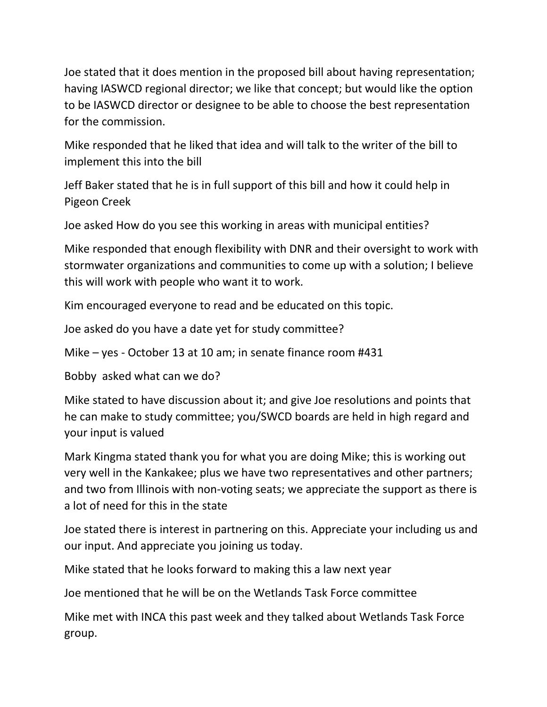Joe stated that it does mention in the proposed bill about having representation; having IASWCD regional director; we like that concept; but would like the option to be IASWCD director or designee to be able to choose the best representation for the commission.

Mike responded that he liked that idea and will talk to the writer of the bill to implement this into the bill

Jeff Baker stated that he is in full support of this bill and how it could help in Pigeon Creek

Joe asked How do you see this working in areas with municipal entities?

Mike responded that enough flexibility with DNR and their oversight to work with stormwater organizations and communities to come up with a solution; I believe this will work with people who want it to work.

Kim encouraged everyone to read and be educated on this topic.

Joe asked do you have a date yet for study committee?

Mike – yes - October 13 at 10 am; in senate finance room #431

Bobby asked what can we do?

Mike stated to have discussion about it; and give Joe resolutions and points that he can make to study committee; you/SWCD boards are held in high regard and your input is valued

Mark Kingma stated thank you for what you are doing Mike; this is working out very well in the Kankakee; plus we have two representatives and other partners; and two from Illinois with non-voting seats; we appreciate the support as there is a lot of need for this in the state

Joe stated there is interest in partnering on this. Appreciate your including us and our input. And appreciate you joining us today.

Mike stated that he looks forward to making this a law next year

Joe mentioned that he will be on the Wetlands Task Force committee

Mike met with INCA this past week and they talked about Wetlands Task Force group.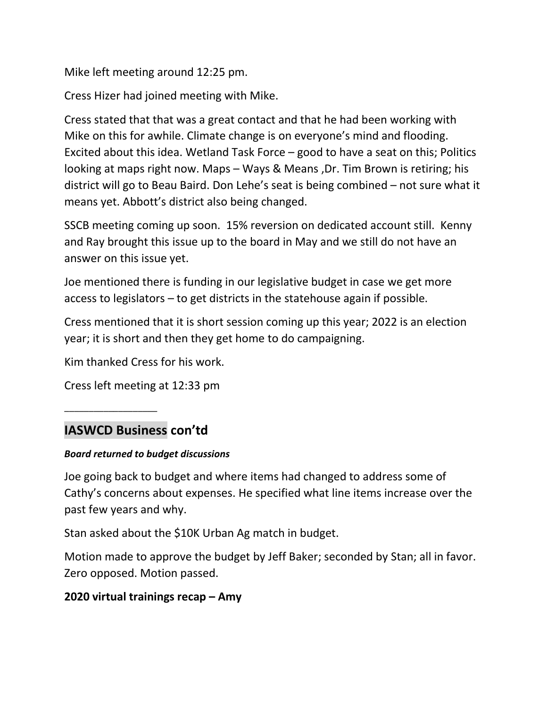Mike left meeting around 12:25 pm.

Cress Hizer had joined meeting with Mike.

Cress stated that that was a great contact and that he had been working with Mike on this for awhile. Climate change is on everyone's mind and flooding. Excited about this idea. Wetland Task Force – good to have a seat on this; Politics looking at maps right now. Maps – Ways & Means ,Dr. Tim Brown is retiring; his district will go to Beau Baird. Don Lehe's seat is being combined – not sure what it means yet. Abbott's district also being changed.

SSCB meeting coming up soon. 15% reversion on dedicated account still. Kenny and Ray brought this issue up to the board in May and we still do not have an answer on this issue yet.

Joe mentioned there is funding in our legislative budget in case we get more access to legislators – to get districts in the statehouse again if possible.

Cress mentioned that it is short session coming up this year; 2022 is an election year; it is short and then they get home to do campaigning.

Kim thanked Cress for his work.

Cress left meeting at 12:33 pm

### **IASWCD Business con'td**

\_\_\_\_\_\_\_\_\_\_\_\_\_\_\_\_\_\_\_

#### *Board returned to budget discussions*

Joe going back to budget and where items had changed to address some of Cathy's concerns about expenses. He specified what line items increase over the past few years and why.

Stan asked about the \$10K Urban Ag match in budget.

Motion made to approve the budget by Jeff Baker; seconded by Stan; all in favor. Zero opposed. Motion passed.

### **2020 virtual trainings recap – Amy**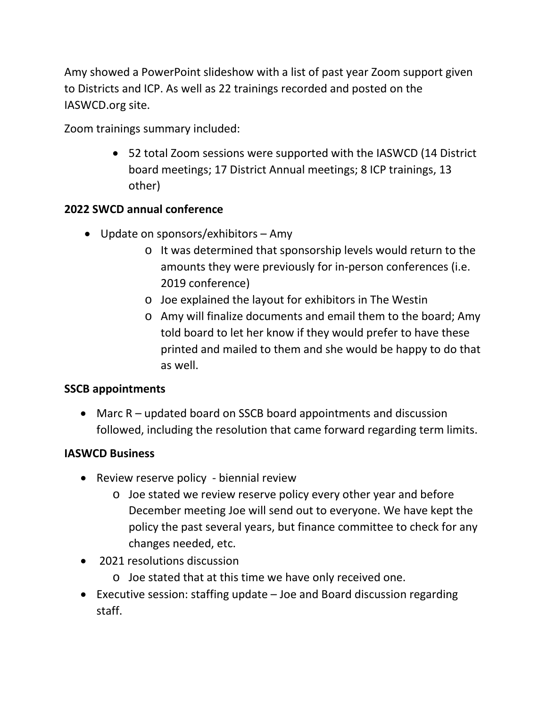Amy showed a PowerPoint slideshow with a list of past year Zoom support given to Districts and ICP. As well as 22 trainings recorded and posted on the IASWCD.org site.

Zoom trainings summary included:

• 52 total Zoom sessions were supported with the IASWCD (14 District board meetings; 17 District Annual meetings; 8 ICP trainings, 13 other)

### **2022 SWCD annual conference**

- Update on sponsors/exhibitors Amy
	- o It was determined that sponsorship levels would return to the amounts they were previously for in-person conferences (i.e. 2019 conference)
	- o Joe explained the layout for exhibitors in The Westin
	- o Amy will finalize documents and email them to the board; Amy told board to let her know if they would prefer to have these printed and mailed to them and she would be happy to do that as well.

### **SSCB appointments**

• Marc R – updated board on SSCB board appointments and discussion followed, including the resolution that came forward regarding term limits.

### **IASWCD Business**

- Review reserve policy biennial review
	- o Joe stated we review reserve policy every other year and before December meeting Joe will send out to everyone. We have kept the policy the past several years, but finance committee to check for any changes needed, etc.
- 2021 resolutions discussion
	- o Joe stated that at this time we have only received one.
- Executive session: staffing update Joe and Board discussion regarding staff.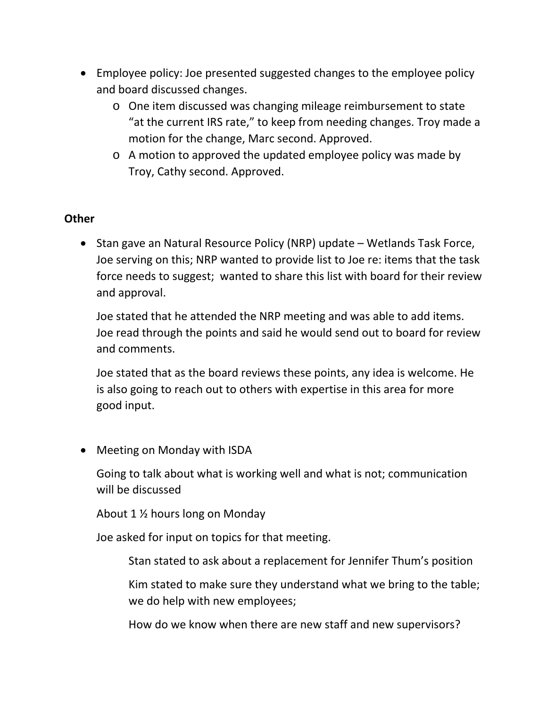- Employee policy: Joe presented suggested changes to the employee policy and board discussed changes.
	- o One item discussed was changing mileage reimbursement to state "at the current IRS rate," to keep from needing changes. Troy made a motion for the change, Marc second. Approved.
	- o A motion to approved the updated employee policy was made by Troy, Cathy second. Approved.

#### **Other**

• Stan gave an Natural Resource Policy (NRP) update – Wetlands Task Force, Joe serving on this; NRP wanted to provide list to Joe re: items that the task force needs to suggest; wanted to share this list with board for their review and approval.

Joe stated that he attended the NRP meeting and was able to add items. Joe read through the points and said he would send out to board for review and comments.

Joe stated that as the board reviews these points, any idea is welcome. He is also going to reach out to others with expertise in this area for more good input.

• Meeting on Monday with ISDA

Going to talk about what is working well and what is not; communication will be discussed

About 1 ½ hours long on Monday

Joe asked for input on topics for that meeting.

Stan stated to ask about a replacement for Jennifer Thum's position

Kim stated to make sure they understand what we bring to the table; we do help with new employees;

How do we know when there are new staff and new supervisors?